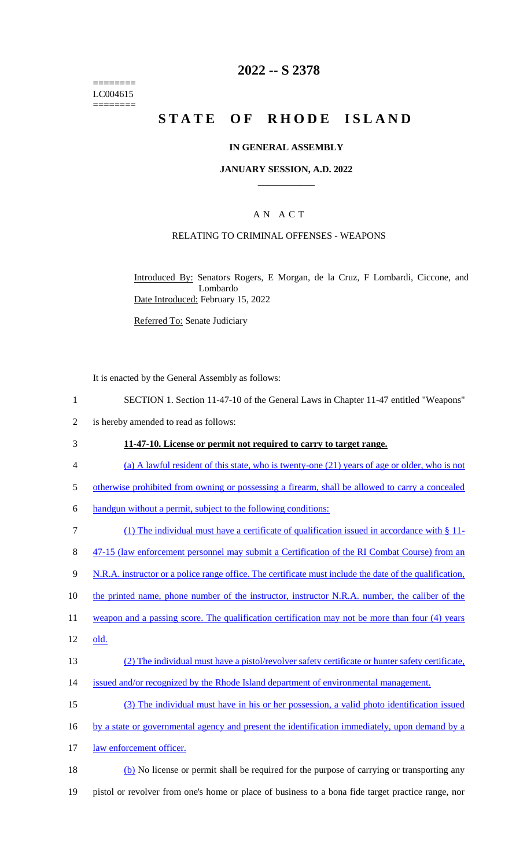======== LC004615 ========

## **2022 -- S 2378**

# **STATE OF RHODE ISLAND**

## **IN GENERAL ASSEMBLY**

#### **JANUARY SESSION, A.D. 2022 \_\_\_\_\_\_\_\_\_\_\_\_**

## A N A C T

## RELATING TO CRIMINAL OFFENSES - WEAPONS

Introduced By: Senators Rogers, E Morgan, de la Cruz, F Lombardi, Ciccone, and Lombardo Date Introduced: February 15, 2022

Referred To: Senate Judiciary

It is enacted by the General Assembly as follows:

- 1 SECTION 1. Section 11-47-10 of the General Laws in Chapter 11-47 entitled "Weapons"
- 2 is hereby amended to read as follows:
- 3 **11-47-10. License or permit not required to carry to target range.**
- 4 (a) A lawful resident of this state, who is twenty-one (21) years of age or older, who is not
- 5 otherwise prohibited from owning or possessing a firearm, shall be allowed to carry a concealed
- 6 handgun without a permit, subject to the following conditions:
- 7 (1) The individual must have a certificate of qualification issued in accordance with § 11-
- 8 47-15 (law enforcement personnel may submit a Certification of the RI Combat Course) from an
- 9 N.R.A. instructor or a police range office. The certificate must include the date of the qualification,
- 10 the printed name, phone number of the instructor, instructor N.R.A. number, the caliber of the
- 11 weapon and a passing score. The qualification certification may not be more than four (4) years
- 12 old.
- 13 (2) The individual must have a pistol/revolver safety certificate or hunter safety certificate,
- 14 issued and/or recognized by the Rhode Island department of environmental management.
- 15 (3) The individual must have in his or her possession, a valid photo identification issued
- 16 by a state or governmental agency and present the identification immediately, upon demand by a
- 17 law enforcement officer.
- 18 (b) No license or permit shall be required for the purpose of carrying or transporting any 19 pistol or revolver from one's home or place of business to a bona fide target practice range, nor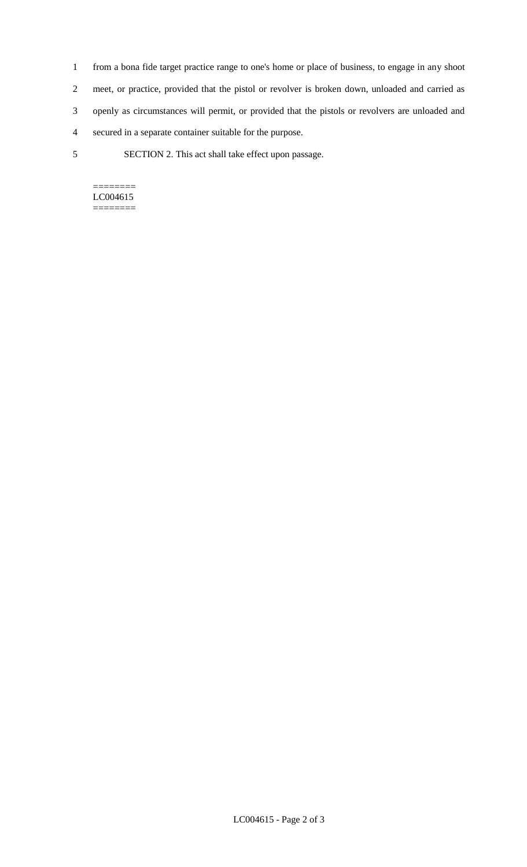- 1 from a bona fide target practice range to one's home or place of business, to engage in any shoot 2 meet, or practice, provided that the pistol or revolver is broken down, unloaded and carried as 3 openly as circumstances will permit, or provided that the pistols or revolvers are unloaded and 4 secured in a separate container suitable for the purpose.
- 5 SECTION 2. This act shall take effect upon passage.

======== LC004615 ========